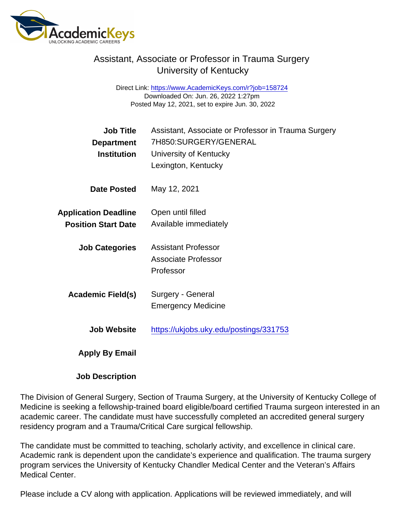## Assistant, Associate or Professor in Trauma Surgery University of Kentucky

Direct Link: <https://www.AcademicKeys.com/r?job=158724> Downloaded On: Jun. 26, 2022 1:27pm Posted May 12, 2021, set to expire Jun. 30, 2022

| Job Title                   | Assistant, Associate or Professor in Trauma Surgery |
|-----------------------------|-----------------------------------------------------|
| Department                  | 7H850:SURGERY/GENERAL                               |
| Institution                 | University of Kentucky                              |
|                             | Lexington, Kentucky                                 |
| Date Posted                 | May 12, 2021                                        |
| <b>Application Deadline</b> | Open until filled                                   |
| <b>Position Start Date</b>  | Available immediately                               |
|                             |                                                     |
| <b>Job Categories</b>       | <b>Assistant Professor</b>                          |
|                             | Associate Professor                                 |
|                             | Professor                                           |
|                             |                                                     |
| Academic Field(s)           | Surgery - General                                   |
|                             | <b>Emergency Medicine</b>                           |
|                             |                                                     |
| <b>Job Website</b>          | https://ukjobs.uky.edu/postings/331753              |
|                             |                                                     |
| Apply By Email              |                                                     |

Job Description

The Division of General Surgery, Section of Trauma Surgery, at the University of Kentucky College of Medicine is seeking a fellowship-trained board eligible/board certified Trauma surgeon interested in an academic career. The candidate must have successfully completed an accredited general surgery residency program and a Trauma/Critical Care surgical fellowship.

The candidate must be committed to teaching, scholarly activity, and excellence in clinical care. Academic rank is dependent upon the candidate's experience and qualification. The trauma surgery program services the University of Kentucky Chandler Medical Center and the Veteran's Affairs Medical Center.

Please include a CV along with application. Applications will be reviewed immediately, and will